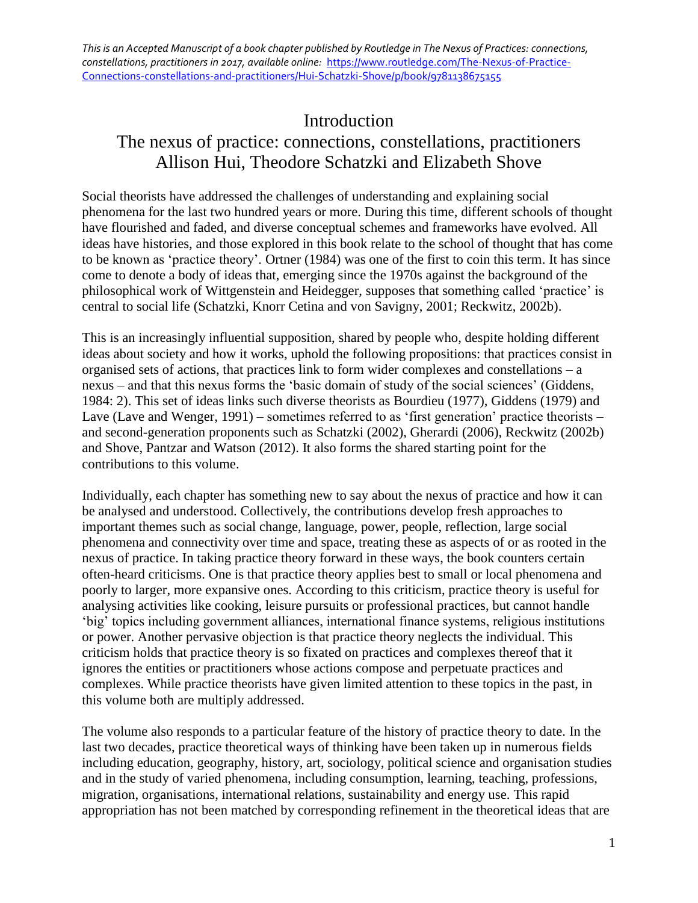## Introduction

# The nexus of practice: connections, constellations, practitioners Allison Hui, Theodore Schatzki and Elizabeth Shove

Social theorists have addressed the challenges of understanding and explaining social phenomena for the last two hundred years or more. During this time, different schools of thought have flourished and faded, and diverse conceptual schemes and frameworks have evolved. All ideas have histories, and those explored in this book relate to the school of thought that has come to be known as 'practice theory'. Ortner (1984) was one of the first to coin this term. It has since come to denote a body of ideas that, emerging since the 1970s against the background of the philosophical work of Wittgenstein and Heidegger, supposes that something called 'practice' is central to social life (Schatzki, Knorr Cetina and von Savigny, 2001; Reckwitz, 2002b).

This is an increasingly influential supposition, shared by people who, despite holding different ideas about society and how it works, uphold the following propositions: that practices consist in organised sets of actions, that practices link to form wider complexes and constellations – a nexus – and that this nexus forms the 'basic domain of study of the social sciences' (Giddens, 1984: 2). This set of ideas links such diverse theorists as Bourdieu (1977), Giddens (1979) and Lave (Lave and Wenger, 1991) – sometimes referred to as 'first generation' practice theorists – and second-generation proponents such as Schatzki (2002), Gherardi (2006), Reckwitz (2002b) and Shove, Pantzar and Watson (2012). It also forms the shared starting point for the contributions to this volume.

Individually, each chapter has something new to say about the nexus of practice and how it can be analysed and understood. Collectively, the contributions develop fresh approaches to important themes such as social change, language, power, people, reflection, large social phenomena and connectivity over time and space, treating these as aspects of or as rooted in the nexus of practice. In taking practice theory forward in these ways, the book counters certain often-heard criticisms. One is that practice theory applies best to small or local phenomena and poorly to larger, more expansive ones. According to this criticism, practice theory is useful for analysing activities like cooking, leisure pursuits or professional practices, but cannot handle 'big' topics including government alliances, international finance systems, religious institutions or power. Another pervasive objection is that practice theory neglects the individual. This criticism holds that practice theory is so fixated on practices and complexes thereof that it ignores the entities or practitioners whose actions compose and perpetuate practices and complexes. While practice theorists have given limited attention to these topics in the past, in this volume both are multiply addressed.

The volume also responds to a particular feature of the history of practice theory to date. In the last two decades, practice theoretical ways of thinking have been taken up in numerous fields including education, geography, history, art, sociology, political science and organisation studies and in the study of varied phenomena, including consumption, learning, teaching, professions, migration, organisations, international relations, sustainability and energy use. This rapid appropriation has not been matched by corresponding refinement in the theoretical ideas that are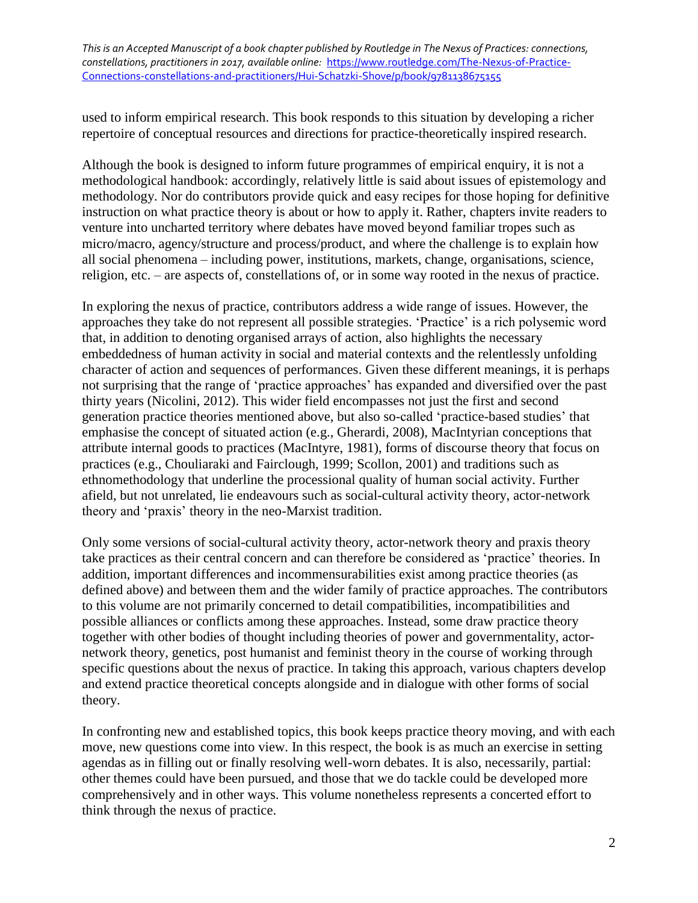used to inform empirical research. This book responds to this situation by developing a richer repertoire of conceptual resources and directions for practice-theoretically inspired research.

Although the book is designed to inform future programmes of empirical enquiry, it is not a methodological handbook: accordingly, relatively little is said about issues of epistemology and methodology. Nor do contributors provide quick and easy recipes for those hoping for definitive instruction on what practice theory is about or how to apply it. Rather, chapters invite readers to venture into uncharted territory where debates have moved beyond familiar tropes such as micro/macro, agency/structure and process/product, and where the challenge is to explain how all social phenomena – including power, institutions, markets, change, organisations, science, religion, etc. – are aspects of, constellations of, or in some way rooted in the nexus of practice.

In exploring the nexus of practice, contributors address a wide range of issues. However, the approaches they take do not represent all possible strategies. 'Practice' is a rich polysemic word that, in addition to denoting organised arrays of action, also highlights the necessary embeddedness of human activity in social and material contexts and the relentlessly unfolding character of action and sequences of performances. Given these different meanings, it is perhaps not surprising that the range of 'practice approaches' has expanded and diversified over the past thirty years (Nicolini, 2012). This wider field encompasses not just the first and second generation practice theories mentioned above, but also so-called 'practice-based studies' that emphasise the concept of situated action (e.g., Gherardi, 2008), MacIntyrian conceptions that attribute internal goods to practices (MacIntyre, 1981), forms of discourse theory that focus on practices (e.g., Chouliaraki and Fairclough, 1999; Scollon, 2001) and traditions such as ethnomethodology that underline the processional quality of human social activity. Further afield, but not unrelated, lie endeavours such as social-cultural activity theory, actor-network theory and 'praxis' theory in the neo-Marxist tradition.

Only some versions of social-cultural activity theory, actor-network theory and praxis theory take practices as their central concern and can therefore be considered as 'practice' theories. In addition, important differences and incommensurabilities exist among practice theories (as defined above) and between them and the wider family of practice approaches. The contributors to this volume are not primarily concerned to detail compatibilities, incompatibilities and possible alliances or conflicts among these approaches. Instead, some draw practice theory together with other bodies of thought including theories of power and governmentality, actornetwork theory, genetics, post humanist and feminist theory in the course of working through specific questions about the nexus of practice. In taking this approach, various chapters develop and extend practice theoretical concepts alongside and in dialogue with other forms of social theory.

In confronting new and established topics, this book keeps practice theory moving, and with each move, new questions come into view. In this respect, the book is as much an exercise in setting agendas as in filling out or finally resolving well-worn debates. It is also, necessarily, partial: other themes could have been pursued, and those that we do tackle could be developed more comprehensively and in other ways. This volume nonetheless represents a concerted effort to think through the nexus of practice.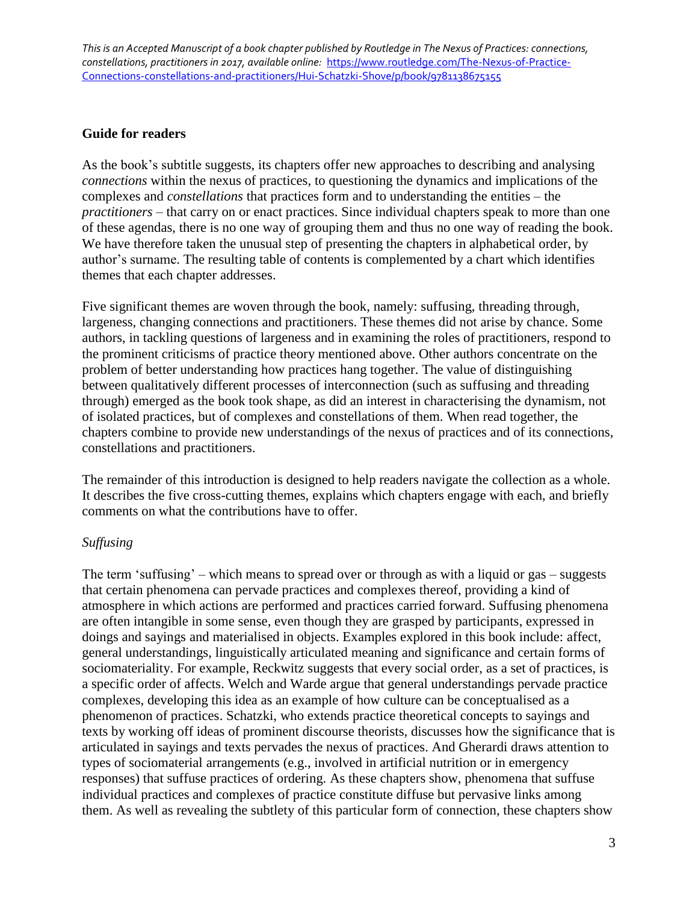#### **Guide for readers**

As the book's subtitle suggests, its chapters offer new approaches to describing and analysing *connections* within the nexus of practices, to questioning the dynamics and implications of the complexes and *constellations* that practices form and to understanding the entities – the *practitioners* – that carry on or enact practices. Since individual chapters speak to more than one of these agendas, there is no one way of grouping them and thus no one way of reading the book. We have therefore taken the unusual step of presenting the chapters in alphabetical order, by author's surname. The resulting table of contents is complemented by a chart which identifies themes that each chapter addresses.

Five significant themes are woven through the book, namely: suffusing, threading through, largeness, changing connections and practitioners. These themes did not arise by chance. Some authors, in tackling questions of largeness and in examining the roles of practitioners, respond to the prominent criticisms of practice theory mentioned above. Other authors concentrate on the problem of better understanding how practices hang together. The value of distinguishing between qualitatively different processes of interconnection (such as suffusing and threading through) emerged as the book took shape, as did an interest in characterising the dynamism, not of isolated practices, but of complexes and constellations of them. When read together, the chapters combine to provide new understandings of the nexus of practices and of its connections, constellations and practitioners.

The remainder of this introduction is designed to help readers navigate the collection as a whole. It describes the five cross-cutting themes, explains which chapters engage with each, and briefly comments on what the contributions have to offer.

## *Suffusing*

The term 'suffusing' – which means to spread over or through as with a liquid or gas – suggests that certain phenomena can pervade practices and complexes thereof, providing a kind of atmosphere in which actions are performed and practices carried forward. Suffusing phenomena are often intangible in some sense, even though they are grasped by participants, expressed in doings and sayings and materialised in objects. Examples explored in this book include: affect, general understandings, linguistically articulated meaning and significance and certain forms of sociomateriality. For example, Reckwitz suggests that every social order, as a set of practices, is a specific order of affects. Welch and Warde argue that general understandings pervade practice complexes, developing this idea as an example of how culture can be conceptualised as a phenomenon of practices. Schatzki, who extends practice theoretical concepts to sayings and texts by working off ideas of prominent discourse theorists, discusses how the significance that is articulated in sayings and texts pervades the nexus of practices. And Gherardi draws attention to types of sociomaterial arrangements (e.g., involved in artificial nutrition or in emergency responses) that suffuse practices of ordering. As these chapters show, phenomena that suffuse individual practices and complexes of practice constitute diffuse but pervasive links among them. As well as revealing the subtlety of this particular form of connection, these chapters show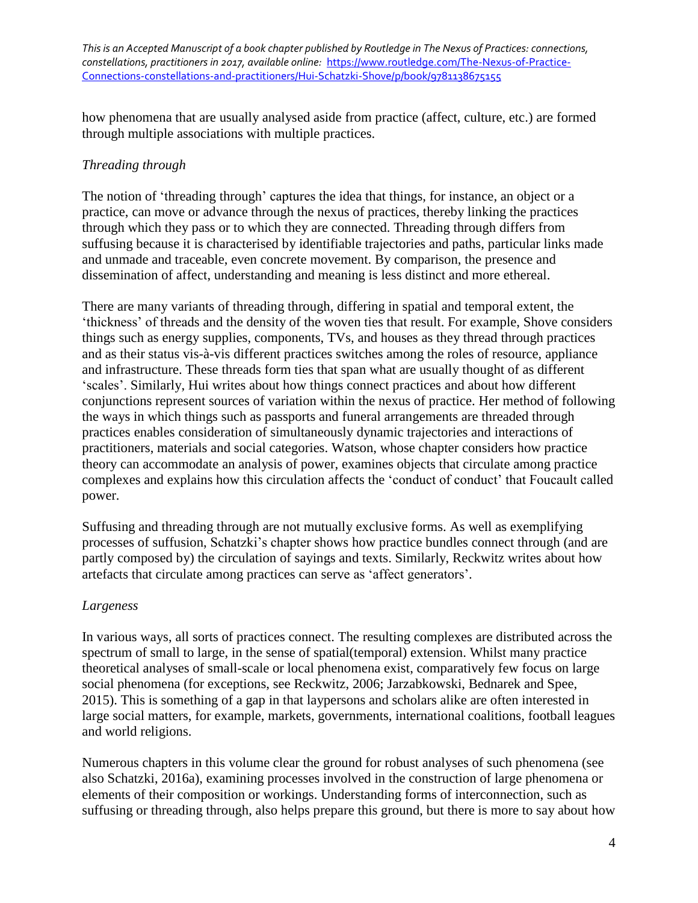how phenomena that are usually analysed aside from practice (affect, culture, etc.) are formed through multiple associations with multiple practices.

## *Threading through*

The notion of 'threading through' captures the idea that things, for instance, an object or a practice, can move or advance through the nexus of practices, thereby linking the practices through which they pass or to which they are connected. Threading through differs from suffusing because it is characterised by identifiable trajectories and paths, particular links made and unmade and traceable, even concrete movement. By comparison, the presence and dissemination of affect, understanding and meaning is less distinct and more ethereal.

There are many variants of threading through, differing in spatial and temporal extent, the 'thickness' of threads and the density of the woven ties that result. For example, Shove considers things such as energy supplies, components, TVs, and houses as they thread through practices and as their status vis-à-vis different practices switches among the roles of resource, appliance and infrastructure. These threads form ties that span what are usually thought of as different 'scales'. Similarly, Hui writes about how things connect practices and about how different conjunctions represent sources of variation within the nexus of practice. Her method of following the ways in which things such as passports and funeral arrangements are threaded through practices enables consideration of simultaneously dynamic trajectories and interactions of practitioners, materials and social categories. Watson, whose chapter considers how practice theory can accommodate an analysis of power, examines objects that circulate among practice complexes and explains how this circulation affects the 'conduct of conduct' that Foucault called power.

Suffusing and threading through are not mutually exclusive forms. As well as exemplifying processes of suffusion, Schatzki's chapter shows how practice bundles connect through (and are partly composed by) the circulation of sayings and texts. Similarly, Reckwitz writes about how artefacts that circulate among practices can serve as 'affect generators'.

#### *Largeness*

In various ways, all sorts of practices connect. The resulting complexes are distributed across the spectrum of small to large, in the sense of spatial(temporal) extension. Whilst many practice theoretical analyses of small-scale or local phenomena exist, comparatively few focus on large social phenomena (for exceptions, see Reckwitz, 2006; Jarzabkowski, Bednarek and Spee, 2015). This is something of a gap in that laypersons and scholars alike are often interested in large social matters, for example, markets, governments, international coalitions, football leagues and world religions.

Numerous chapters in this volume clear the ground for robust analyses of such phenomena (see also Schatzki, 2016a), examining processes involved in the construction of large phenomena or elements of their composition or workings. Understanding forms of interconnection, such as suffusing or threading through, also helps prepare this ground, but there is more to say about how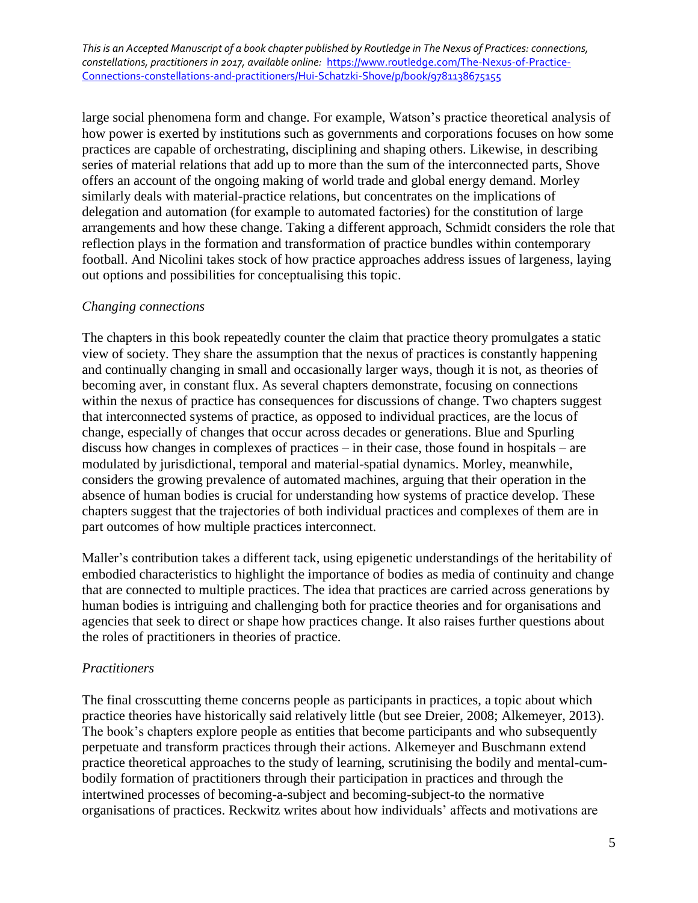large social phenomena form and change. For example, Watson's practice theoretical analysis of how power is exerted by institutions such as governments and corporations focuses on how some practices are capable of orchestrating, disciplining and shaping others. Likewise, in describing series of material relations that add up to more than the sum of the interconnected parts, Shove offers an account of the ongoing making of world trade and global energy demand. Morley similarly deals with material-practice relations, but concentrates on the implications of delegation and automation (for example to automated factories) for the constitution of large arrangements and how these change. Taking a different approach, Schmidt considers the role that reflection plays in the formation and transformation of practice bundles within contemporary football. And Nicolini takes stock of how practice approaches address issues of largeness, laying out options and possibilities for conceptualising this topic.

#### *Changing connections*

The chapters in this book repeatedly counter the claim that practice theory promulgates a static view of society. They share the assumption that the nexus of practices is constantly happening and continually changing in small and occasionally larger ways, though it is not, as theories of becoming aver, in constant flux. As several chapters demonstrate, focusing on connections within the nexus of practice has consequences for discussions of change. Two chapters suggest that interconnected systems of practice, as opposed to individual practices, are the locus of change, especially of changes that occur across decades or generations. Blue and Spurling discuss how changes in complexes of practices – in their case, those found in hospitals – are modulated by jurisdictional, temporal and material-spatial dynamics. Morley, meanwhile, considers the growing prevalence of automated machines, arguing that their operation in the absence of human bodies is crucial for understanding how systems of practice develop. These chapters suggest that the trajectories of both individual practices and complexes of them are in part outcomes of how multiple practices interconnect.

Maller's contribution takes a different tack, using epigenetic understandings of the heritability of embodied characteristics to highlight the importance of bodies as media of continuity and change that are connected to multiple practices. The idea that practices are carried across generations by human bodies is intriguing and challenging both for practice theories and for organisations and agencies that seek to direct or shape how practices change. It also raises further questions about the roles of practitioners in theories of practice.

## *Practitioners*

The final crosscutting theme concerns people as participants in practices, a topic about which practice theories have historically said relatively little (but see Dreier, 2008; Alkemeyer, 2013). The book's chapters explore people as entities that become participants and who subsequently perpetuate and transform practices through their actions. Alkemeyer and Buschmann extend practice theoretical approaches to the study of learning, scrutinising the bodily and mental-cumbodily formation of practitioners through their participation in practices and through the intertwined processes of becoming-a-subject and becoming-subject-to the normative organisations of practices. Reckwitz writes about how individuals' affects and motivations are